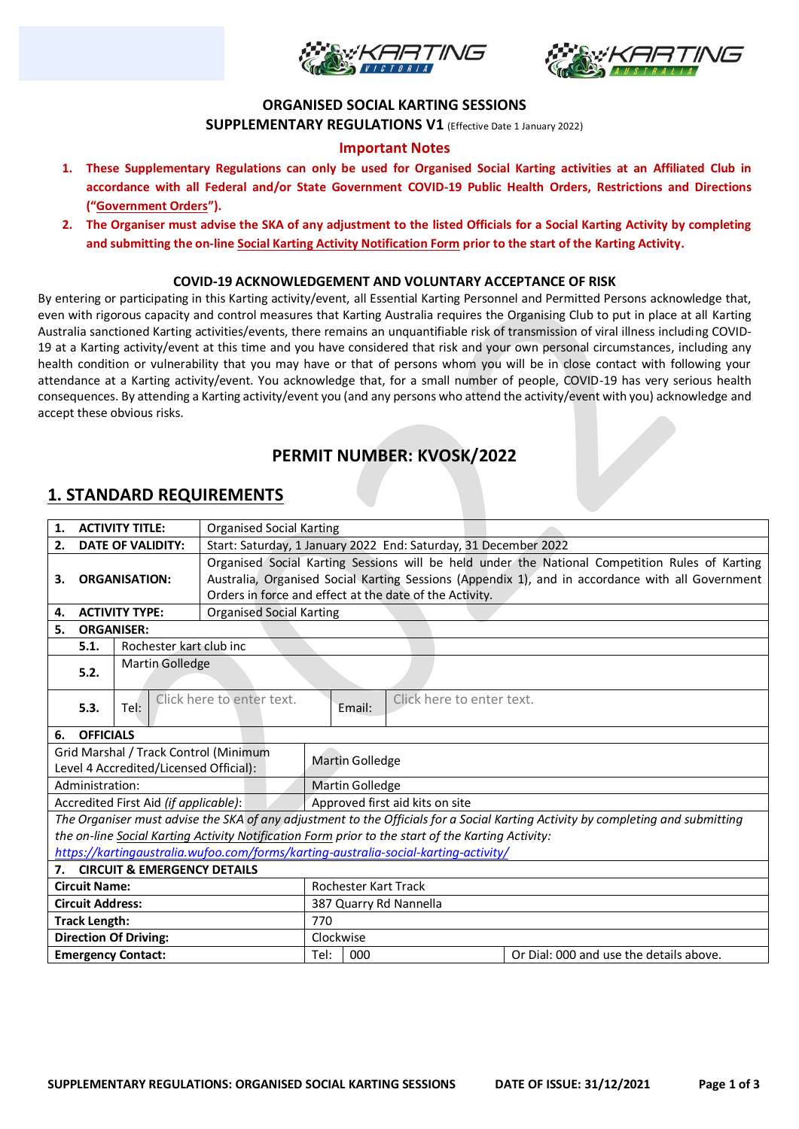



### **ORGANISED SOCIAL KARTING SESSIONS**

**SUPPLEMENTARY REGULATIONS V1** (Effective Date 1 January 2022)

### **Important Notes**

- **1. These Supplementary Regulations can only be used for Organised Social Karting activities at an Affiliated Club in accordance with all Federal and/or State Government COVID-19 Public Health Orders, Restrictions and Directions ("Government Orders").**
- **2. The Organiser must advise the SKA of any adjustment to the listed Officials for a Social Karting Activity by completing and submitting the on-line Social Karting Activity Notification Form prior to the start of the Karting Activity.**

#### **COVID-19 ACKNOWLEDGEMENT AND VOLUNTARY ACCEPTANCE OF RISK**

By entering or participating in this Karting activity/event, all Essential Karting Personnel and Permitted Persons acknowledge that, even with rigorous capacity and control measures that Karting Australia requires the Organising Club to put in place at all Karting Australia sanctioned Karting activities/events, there remains an unquantifiable risk of transmission of viral illness including COVID-19 at a Karting activity/event at this time and you have considered that risk and your own personal circumstances, including any health condition or vulnerability that you may have or that of persons whom you will be in close contact with following your attendance at a Karting activity/event. You acknowledge that, for a small number of people, COVID-19 has very serious health consequences. By attending a Karting activity/event you (and any persons who attend the activity/event with you) acknowledge and accept these obvious risks.

# **PERMIT NUMBER: KVOSK/2022**

### **1. STANDARD REQUIREMENTS**

| <b>ACTIVITY TITLE:</b><br>1.           |                                                                                     |                                        | <b>Organised Social Karting</b>                                                                  |                                 |        |                                                                                                   |                                                                                                                                 |  |  |
|----------------------------------------|-------------------------------------------------------------------------------------|----------------------------------------|--------------------------------------------------------------------------------------------------|---------------------------------|--------|---------------------------------------------------------------------------------------------------|---------------------------------------------------------------------------------------------------------------------------------|--|--|
| <b>DATE OF VALIDITY:</b><br>2.         |                                                                                     |                                        | Start: Saturday, 1 January 2022 End: Saturday, 31 December 2022                                  |                                 |        |                                                                                                   |                                                                                                                                 |  |  |
|                                        |                                                                                     |                                        | Organised Social Karting Sessions will be held under the National Competition Rules of Karting   |                                 |        |                                                                                                   |                                                                                                                                 |  |  |
| З.                                     | <b>ORGANISATION:</b>                                                                |                                        | Australia, Organised Social Karting Sessions (Appendix 1), and in accordance with all Government |                                 |        |                                                                                                   |                                                                                                                                 |  |  |
|                                        |                                                                                     |                                        | Orders in force and effect at the date of the Activity.                                          |                                 |        |                                                                                                   |                                                                                                                                 |  |  |
| <b>ACTIVITY TYPE:</b><br>4.            |                                                                                     |                                        | <b>Organised Social Karting</b>                                                                  |                                 |        |                                                                                                   |                                                                                                                                 |  |  |
| 5.<br><b>ORGANISER:</b>                |                                                                                     |                                        |                                                                                                  |                                 |        |                                                                                                   |                                                                                                                                 |  |  |
|                                        | Rochester kart club inc<br>5.1.                                                     |                                        |                                                                                                  |                                 |        |                                                                                                   |                                                                                                                                 |  |  |
|                                        | <b>Martin Golledge</b>                                                              |                                        |                                                                                                  |                                 |        |                                                                                                   |                                                                                                                                 |  |  |
|                                        | 5.2.                                                                                |                                        |                                                                                                  |                                 |        |                                                                                                   |                                                                                                                                 |  |  |
|                                        |                                                                                     |                                        | Click here to enter text.                                                                        |                                 |        | Click here to enter text.                                                                         |                                                                                                                                 |  |  |
|                                        | 5.3.                                                                                | Tel:                                   |                                                                                                  |                                 | Email: |                                                                                                   |                                                                                                                                 |  |  |
| 6.                                     | <b>OFFICIALS</b>                                                                    |                                        |                                                                                                  |                                 |        |                                                                                                   |                                                                                                                                 |  |  |
| Grid Marshal / Track Control (Minimum  |                                                                                     |                                        |                                                                                                  |                                 |        |                                                                                                   |                                                                                                                                 |  |  |
| Level 4 Accredited/Licensed Official): |                                                                                     |                                        |                                                                                                  | <b>Martin Golledge</b>          |        |                                                                                                   |                                                                                                                                 |  |  |
| Administration:                        |                                                                                     |                                        |                                                                                                  | <b>Martin Golledge</b>          |        |                                                                                                   |                                                                                                                                 |  |  |
|                                        |                                                                                     | Accredited First Aid (if applicable):  |                                                                                                  | Approved first aid kits on site |        |                                                                                                   |                                                                                                                                 |  |  |
|                                        |                                                                                     |                                        |                                                                                                  |                                 |        |                                                                                                   | The Organiser must advise the SKA of any adjustment to the Officials for a Social Karting Activity by completing and submitting |  |  |
|                                        |                                                                                     |                                        |                                                                                                  |                                 |        | the on-line Social Karting Activity Notification Form prior to the start of the Karting Activity: |                                                                                                                                 |  |  |
|                                        | https://kartingaustralia.wufoo.com/forms/karting-australia-social-karting-activity/ |                                        |                                                                                                  |                                 |        |                                                                                                   |                                                                                                                                 |  |  |
| 7.                                     |                                                                                     | <b>CIRCUIT &amp; EMERGENCY DETAILS</b> |                                                                                                  |                                 |        |                                                                                                   |                                                                                                                                 |  |  |
| <b>Circuit Name:</b>                   |                                                                                     |                                        |                                                                                                  | <b>Rochester Kart Track</b>     |        |                                                                                                   |                                                                                                                                 |  |  |
| <b>Circuit Address:</b>                |                                                                                     |                                        |                                                                                                  | 387 Quarry Rd Nannella          |        |                                                                                                   |                                                                                                                                 |  |  |
| <b>Track Length:</b>                   |                                                                                     |                                        |                                                                                                  | 770                             |        |                                                                                                   |                                                                                                                                 |  |  |
| <b>Direction Of Driving:</b>           |                                                                                     |                                        |                                                                                                  | Clockwise                       |        |                                                                                                   |                                                                                                                                 |  |  |
| <b>Emergency Contact:</b>              |                                                                                     |                                        |                                                                                                  | Tel:                            | 000    |                                                                                                   | Or Dial: 000 and use the details above.                                                                                         |  |  |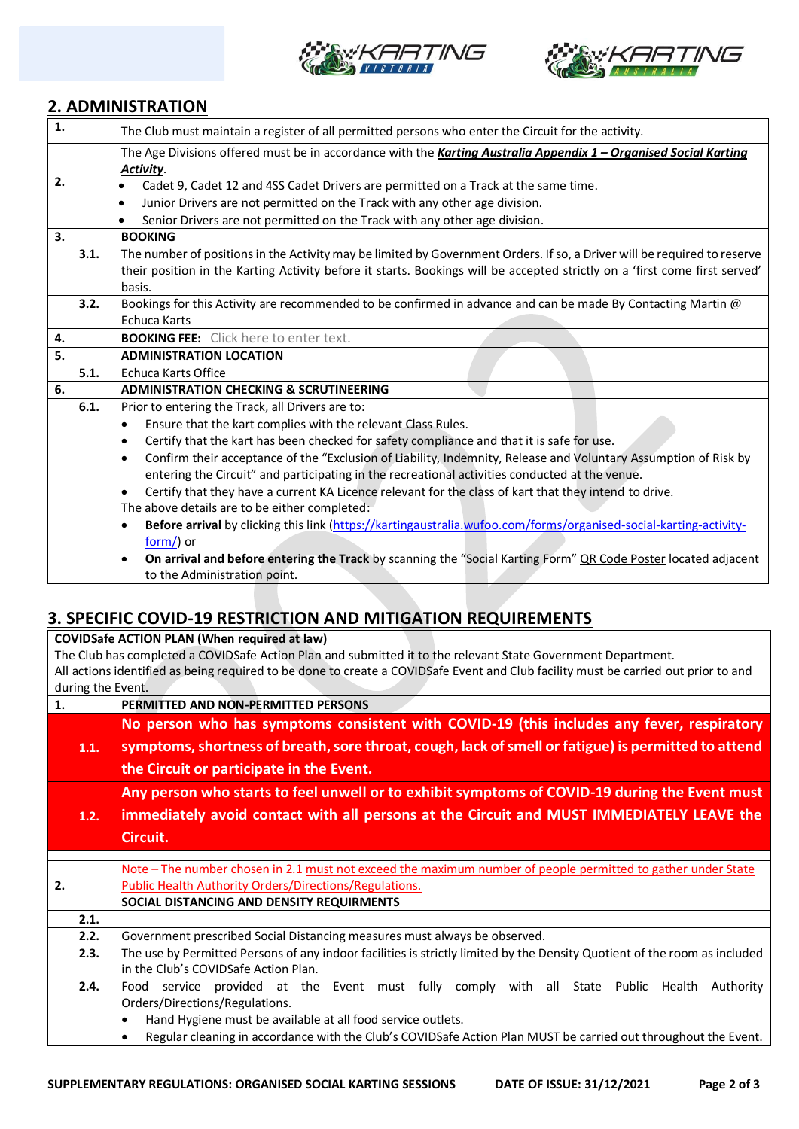



## **2. ADMINISTRATION**

| $\overline{1}$ .          | The Club must maintain a register of all permitted persons who enter the Circuit for the activity.                                                          |  |  |  |  |  |  |
|---------------------------|-------------------------------------------------------------------------------------------------------------------------------------------------------------|--|--|--|--|--|--|
|                           | The Age Divisions offered must be in accordance with the Karting Australia Appendix 1 - Organised Social Karting                                            |  |  |  |  |  |  |
|                           | Activity.                                                                                                                                                   |  |  |  |  |  |  |
| 2.                        | Cadet 9, Cadet 12 and 4SS Cadet Drivers are permitted on a Track at the same time.                                                                          |  |  |  |  |  |  |
|                           | Junior Drivers are not permitted on the Track with any other age division.<br>$\bullet$                                                                     |  |  |  |  |  |  |
|                           |                                                                                                                                                             |  |  |  |  |  |  |
|                           | Senior Drivers are not permitted on the Track with any other age division.<br>$\bullet$                                                                     |  |  |  |  |  |  |
| $\overline{\mathbf{3}}$ . | <b>BOOKING</b>                                                                                                                                              |  |  |  |  |  |  |
| 3.1.                      | The number of positions in the Activity may be limited by Government Orders. If so, a Driver will be required to reserve                                    |  |  |  |  |  |  |
|                           | their position in the Karting Activity before it starts. Bookings will be accepted strictly on a 'first come first served'                                  |  |  |  |  |  |  |
|                           | basis.                                                                                                                                                      |  |  |  |  |  |  |
| 3.2.                      | Bookings for this Activity are recommended to be confirmed in advance and can be made By Contacting Martin @                                                |  |  |  |  |  |  |
|                           | <b>Echuca Karts</b>                                                                                                                                         |  |  |  |  |  |  |
| 4.                        | <b>BOOKING FEE:</b> Click here to enter text.                                                                                                               |  |  |  |  |  |  |
| 5.                        | <b>ADMINISTRATION LOCATION</b>                                                                                                                              |  |  |  |  |  |  |
| 5.1.                      | Echuca Karts Office                                                                                                                                         |  |  |  |  |  |  |
| 6.                        | <b>ADMINISTRATION CHECKING &amp; SCRUTINEERING</b>                                                                                                          |  |  |  |  |  |  |
| 6.1.                      | Prior to entering the Track, all Drivers are to:                                                                                                            |  |  |  |  |  |  |
|                           |                                                                                                                                                             |  |  |  |  |  |  |
|                           | Ensure that the kart complies with the relevant Class Rules.<br>$\bullet$                                                                                   |  |  |  |  |  |  |
|                           | Certify that the kart has been checked for safety compliance and that it is safe for use.<br>٠                                                              |  |  |  |  |  |  |
|                           | $\bullet$                                                                                                                                                   |  |  |  |  |  |  |
|                           | Confirm their acceptance of the "Exclusion of Liability, Indemnity, Release and Voluntary Assumption of Risk by                                             |  |  |  |  |  |  |
|                           | entering the Circuit" and participating in the recreational activities conducted at the venue.<br>٠                                                         |  |  |  |  |  |  |
|                           | Certify that they have a current KA Licence relevant for the class of kart that they intend to drive.                                                       |  |  |  |  |  |  |
|                           | The above details are to be either completed:                                                                                                               |  |  |  |  |  |  |
|                           | Before arrival by clicking this link (https://kartingaustralia.wufoo.com/forms/organised-social-karting-activity-<br>$\bullet$                              |  |  |  |  |  |  |
|                           | $form$ ) or                                                                                                                                                 |  |  |  |  |  |  |
|                           | On arrival and before entering the Track by scanning the "Social Karting Form" QR Code Poster located adjacent<br>$\bullet$<br>to the Administration point. |  |  |  |  |  |  |

# **3. SPECIFIC COVID-19 RESTRICTION AND MITIGATION REQUIREMENTS**

**COVIDSafe ACTION PLAN (When required at law)** The Club has completed a COVIDSafe Action Plan and submitted it to the relevant State Government Department. All actions identified as being required to be done to create a COVIDSafe Event and Club facility must be carried out prior to and during the Event.

| 1.   | PERMITTED AND NON-PERMITTED PERSONS                                                                                                                                                              |  |  |  |  |  |
|------|--------------------------------------------------------------------------------------------------------------------------------------------------------------------------------------------------|--|--|--|--|--|
| 1.1. | No person who has symptoms consistent with COVID-19 (this includes any fever, respiratory<br>symptoms, shortness of breath, sore throat, cough, lack of smell or fatigue) is permitted to attend |  |  |  |  |  |
|      | the Circuit or participate in the Event.                                                                                                                                                         |  |  |  |  |  |
|      | Any person who starts to feel unwell or to exhibit symptoms of COVID-19 during the Event must                                                                                                    |  |  |  |  |  |
| 1.2. | immediately avoid contact with all persons at the Circuit and MUST IMMEDIATELY LEAVE the                                                                                                         |  |  |  |  |  |
|      | Circuit.                                                                                                                                                                                         |  |  |  |  |  |
|      |                                                                                                                                                                                                  |  |  |  |  |  |
|      | Note – The number chosen in 2.1 must not exceed the maximum number of people permitted to gather under State                                                                                     |  |  |  |  |  |
| 2.   | <b>Public Health Authority Orders/Directions/Regulations.</b>                                                                                                                                    |  |  |  |  |  |
|      | SOCIAL DISTANCING AND DENSITY REQUIRMENTS                                                                                                                                                        |  |  |  |  |  |
| 2.1. |                                                                                                                                                                                                  |  |  |  |  |  |
| 2.2. | Government prescribed Social Distancing measures must always be observed.                                                                                                                        |  |  |  |  |  |
| 2.3. | The use by Permitted Persons of any indoor facilities is strictly limited by the Density Quotient of the room as included                                                                        |  |  |  |  |  |
|      | in the Club's COVIDSafe Action Plan.                                                                                                                                                             |  |  |  |  |  |
| 2.4. | service provided at the Event must fully comply with all State Public<br>Health<br>Authority<br>Food                                                                                             |  |  |  |  |  |
|      | Orders/Directions/Regulations.                                                                                                                                                                   |  |  |  |  |  |
|      | Hand Hygiene must be available at all food service outlets.<br>٠                                                                                                                                 |  |  |  |  |  |
|      | Regular cleaning in accordance with the Club's COVIDSafe Action Plan MUST be carried out throughout the Event.                                                                                   |  |  |  |  |  |
|      |                                                                                                                                                                                                  |  |  |  |  |  |